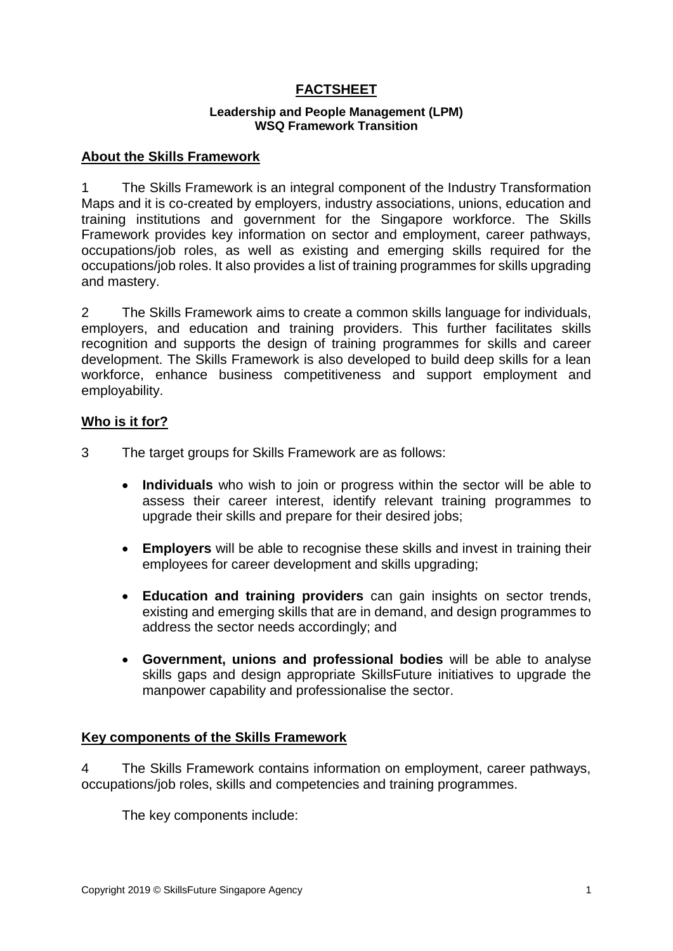# **FACTSHEET**

#### **Leadership and People Management (LPM) WSQ Framework Transition**

## **About the Skills Framework**

1 The Skills Framework is an integral component of the Industry Transformation Maps and it is co-created by employers, industry associations, unions, education and training institutions and government for the Singapore workforce. The Skills Framework provides key information on sector and employment, career pathways, occupations/job roles, as well as existing and emerging skills required for the occupations/job roles. It also provides a list of training programmes for skills upgrading and mastery.

2 The Skills Framework aims to create a common skills language for individuals, employers, and education and training providers. This further facilitates skills recognition and supports the design of training programmes for skills and career development. The Skills Framework is also developed to build deep skills for a lean workforce, enhance business competitiveness and support employment and employability.

### **Who is it for?**

- 3 The target groups for Skills Framework are as follows:
	- **Individuals** who wish to join or progress within the sector will be able to assess their career interest, identify relevant training programmes to upgrade their skills and prepare for their desired jobs;
	- **Employers** will be able to recognise these skills and invest in training their employees for career development and skills upgrading;
	- **Education and training providers** can gain insights on sector trends, existing and emerging skills that are in demand, and design programmes to address the sector needs accordingly; and
	- **Government, unions and professional bodies** will be able to analyse skills gaps and design appropriate SkillsFuture initiatives to upgrade the manpower capability and professionalise the sector.

#### **Key components of the Skills Framework**

4 The Skills Framework contains information on employment, career pathways, occupations/job roles, skills and competencies and training programmes.

The key components include: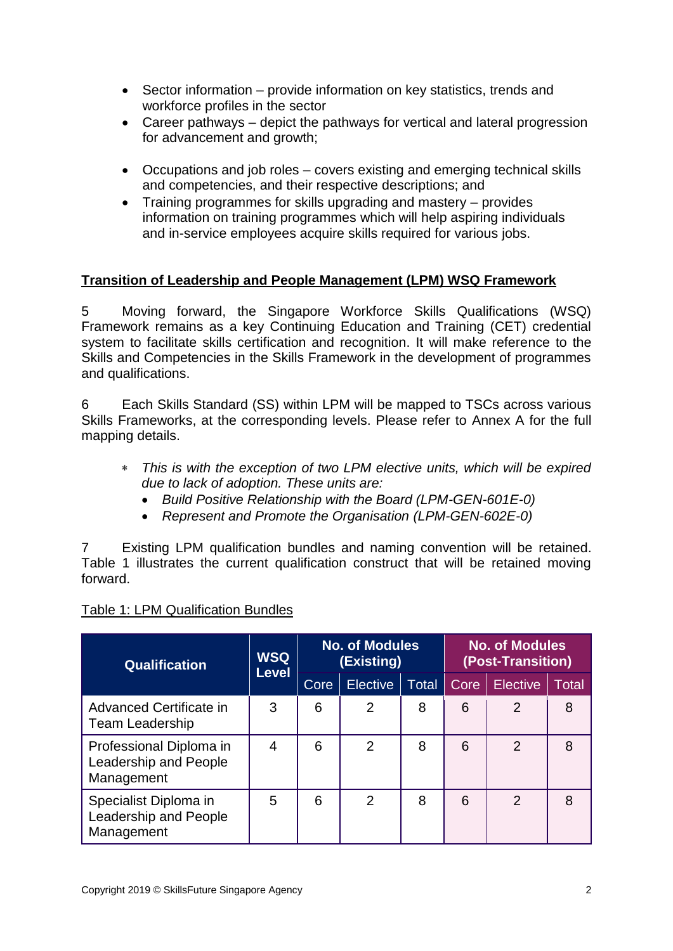- Sector information provide information on key statistics, trends and workforce profiles in the sector
- Career pathways depict the pathways for vertical and lateral progression for advancement and growth;
- Occupations and job roles covers existing and emerging technical skills and competencies, and their respective descriptions; and
- Training programmes for skills upgrading and mastery provides information on training programmes which will help aspiring individuals and in-service employees acquire skills required for various jobs.

# **Transition of Leadership and People Management (LPM) WSQ Framework**

5 Moving forward, the Singapore Workforce Skills Qualifications (WSQ) Framework remains as a key Continuing Education and Training (CET) credential system to facilitate skills certification and recognition. It will make reference to the Skills and Competencies in the Skills Framework in the development of programmes and qualifications.

6 Each Skills Standard (SS) within LPM will be mapped to TSCs across various Skills Frameworks, at the corresponding levels. Please refer to Annex A for the full mapping details.

- *This is with the exception of two LPM elective units, which will be expired due to lack of adoption. These units are:*
	- *Build Positive Relationship with the Board (LPM-GEN-601E-0)*
	- *Represent and Promote the Organisation (LPM-GEN-602E-0)*

7 Existing LPM qualification bundles and naming convention will be retained. Table 1 illustrates the current qualification construct that will be retained moving forward.

| <b>Qualification</b>                                           | <b>WSQ</b><br><b>Level</b> |             | <b>No. of Modules</b><br>(Existing) |       |      | No. of Modules<br>(Post-Transition) |       |
|----------------------------------------------------------------|----------------------------|-------------|-------------------------------------|-------|------|-------------------------------------|-------|
|                                                                |                            | <b>Core</b> | Elective                            | Total | Core | <b>Elective</b>                     | Total |
| Advanced Certificate in<br><b>Team Leadership</b>              | 3                          | 6           | $\overline{2}$                      | 8     | 6    | $\overline{2}$                      | 8     |
| Professional Diploma in<br>Leadership and People<br>Management | 4                          | 6           | 2                                   | 8     | 6    | 2                                   | 8     |
| Specialist Diploma in<br>Leadership and People<br>Management   | 5                          | 6           | $\overline{2}$                      | 8     | 6    | $\mathcal{P}$                       | 8     |

## Table 1: LPM Qualification Bundles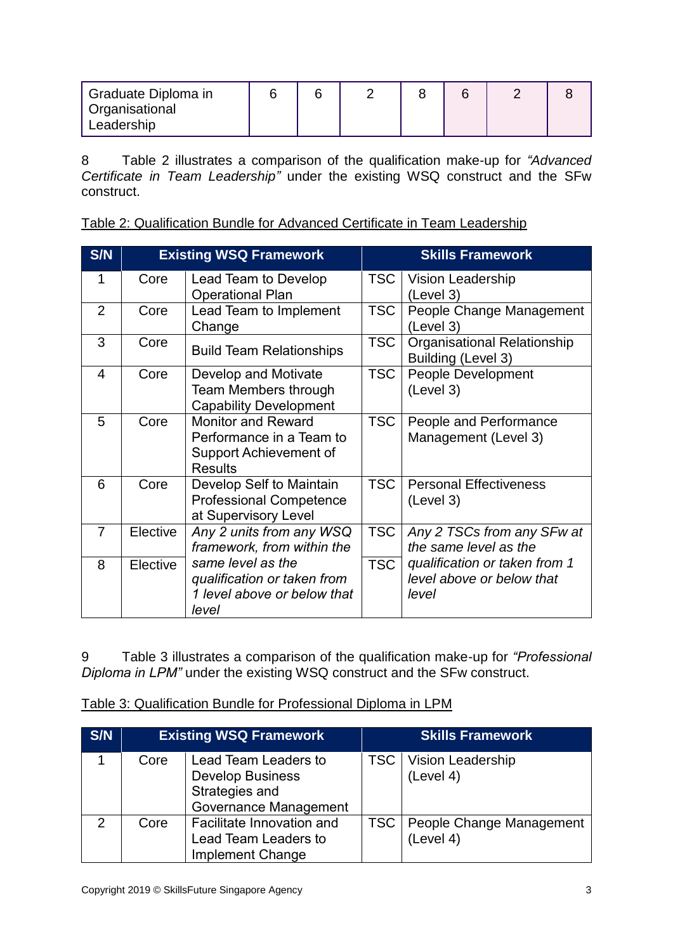| <sup>1</sup> Graduate Diploma in |  |  |  |  |
|----------------------------------|--|--|--|--|
| Organisational                   |  |  |  |  |
| Leadership                       |  |  |  |  |

8 Table 2 illustrates a comparison of the qualification make-up for *"Advanced Certificate in Team Leadership"* under the existing WSQ construct and the SFw construct.

Table 2: Qualification Bundle for Advanced Certificate in Team Leadership

| <b>S/N</b>     |          | <b>Existing WSQ Framework</b>                                                                     |            | <b>Skills Framework</b>                                             |
|----------------|----------|---------------------------------------------------------------------------------------------------|------------|---------------------------------------------------------------------|
| 1              | Core     | Lead Team to Develop<br><b>Operational Plan</b>                                                   | TSC.       | <b>Vision Leadership</b><br>(Level 3)                               |
| 2              | Core     | Lead Team to Implement<br>Change                                                                  | <b>TSC</b> | People Change Management<br>(Level 3)                               |
| 3              | Core     | <b>Build Team Relationships</b>                                                                   | <b>TSC</b> | <b>Organisational Relationship</b><br>Building (Level 3)            |
| $\overline{4}$ | Core     | Develop and Motivate<br>Team Members through<br><b>Capability Development</b>                     | <b>TSC</b> | People Development<br>(Level 3)                                     |
| 5              | Core     | <b>Monitor and Reward</b><br>Performance in a Team to<br>Support Achievement of<br><b>Results</b> | <b>TSC</b> | People and Performance<br>Management (Level 3)                      |
| 6              | Core     | Develop Self to Maintain<br><b>Professional Competence</b><br>at Supervisory Level                | <b>TSC</b> | <b>Personal Effectiveness</b><br>(Level 3)                          |
| $\overline{7}$ | Elective | Any 2 units from any WSQ<br>framework, from within the                                            | <b>TSC</b> | Any 2 TSCs from any SFw at<br>the same level as the                 |
| 8              | Elective | same level as the<br>qualification or taken from<br>1 level above or below that<br>level          | <b>TSC</b> | qualification or taken from 1<br>level above or below that<br>level |

9 Table 3 illustrates a comparison of the qualification make-up for *"Professional Diploma in LPM"* under the existing WSQ construct and the SFw construct.

|  | Table 3: Qualification Bundle for Professional Diploma in LPM |  |  |  |  |
|--|---------------------------------------------------------------|--|--|--|--|
|--|---------------------------------------------------------------|--|--|--|--|

| S/N           |      | <b>Existing WSQ Framework</b>                                                                     | <b>Skills Framework</b>                     |
|---------------|------|---------------------------------------------------------------------------------------------------|---------------------------------------------|
|               | Core | Lead Team Leaders to<br><b>Develop Business</b><br>Strategies and<br><b>Governance Management</b> | <b>TSC</b>   Vision Leadership<br>(Level 4) |
| $\mathcal{P}$ | Core | Facilitate Innovation and<br>Lead Team Leaders to<br><b>Implement Change</b>                      | TSC   People Change Management<br>(Level 4) |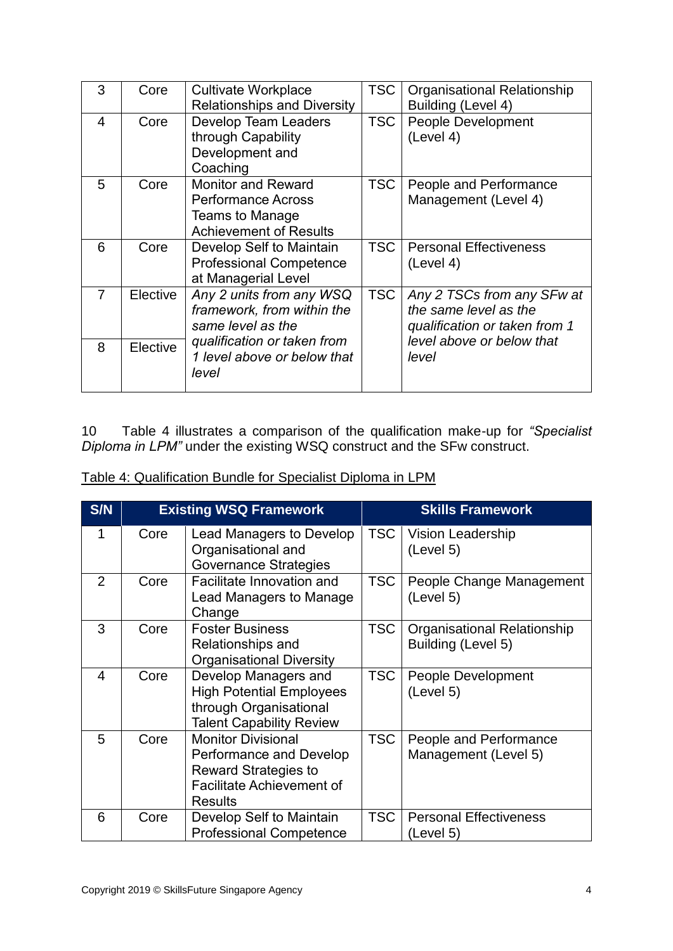| 3 | Core     | <b>Cultivate Workplace</b><br><b>Relationships and Diversity</b>                                                  | <b>TSC</b> | <b>Organisational Relationship</b><br>Building (Level 4)                             |
|---|----------|-------------------------------------------------------------------------------------------------------------------|------------|--------------------------------------------------------------------------------------|
| 4 | Core     | <b>Develop Team Leaders</b><br>through Capability<br>Development and<br>Coaching                                  | <b>TSC</b> | <b>People Development</b><br>(Level 4)                                               |
| 5 | Core     | <b>Monitor and Reward</b><br><b>Performance Across</b><br><b>Teams to Manage</b><br><b>Achievement of Results</b> | <b>TSC</b> | People and Performance<br>Management (Level 4)                                       |
| 6 | Core     | Develop Self to Maintain<br><b>Professional Competence</b><br>at Managerial Level                                 | TSC.       | <b>Personal Effectiveness</b><br>(Level 4)                                           |
| 7 | Elective | Any 2 units from any WSQ<br>framework, from within the<br>same level as the                                       | <b>TSC</b> | Any 2 TSCs from any SFw at<br>the same level as the<br>qualification or taken from 1 |
| 8 | Elective | qualification or taken from<br>1 level above or below that<br>level                                               |            | level above or below that<br>level                                                   |

10 Table 4 illustrates a comparison of the qualification make-up for *"Specialist Diploma in LPM"* under the existing WSQ construct and the SFw construct.

| S/N |      | <b>Existing WSQ Framework</b>                                                                                                             |            | <b>Skills Framework</b>                           |
|-----|------|-------------------------------------------------------------------------------------------------------------------------------------------|------------|---------------------------------------------------|
| 1   | Core | Lead Managers to Develop<br>Organisational and<br>Governance Strategies                                                                   | <b>TSC</b> | Vision Leadership<br>(Level 5)                    |
| 2   | Core | Facilitate Innovation and<br>Lead Managers to Manage<br>Change                                                                            | <b>TSC</b> | People Change Management<br>(Level 5)             |
| 3   | Core | <b>Foster Business</b><br>Relationships and<br><b>Organisational Diversity</b>                                                            | <b>TSC</b> | Organisational Relationship<br>Building (Level 5) |
| 4   | Core | Develop Managers and<br><b>High Potential Employees</b><br>through Organisational<br>Talent Capability Review                             | <b>TSC</b> | People Development<br>(Level 5)                   |
| 5   | Core | <b>Monitor Divisional</b><br>Performance and Develop<br><b>Reward Strategies to</b><br><b>Facilitate Achievement of</b><br><b>Results</b> | TSC        | People and Performance<br>Management (Level 5)    |
| 6   | Core | Develop Self to Maintain<br><b>Professional Competence</b>                                                                                | <b>TSC</b> | <b>Personal Effectiveness</b><br>(Level 5)        |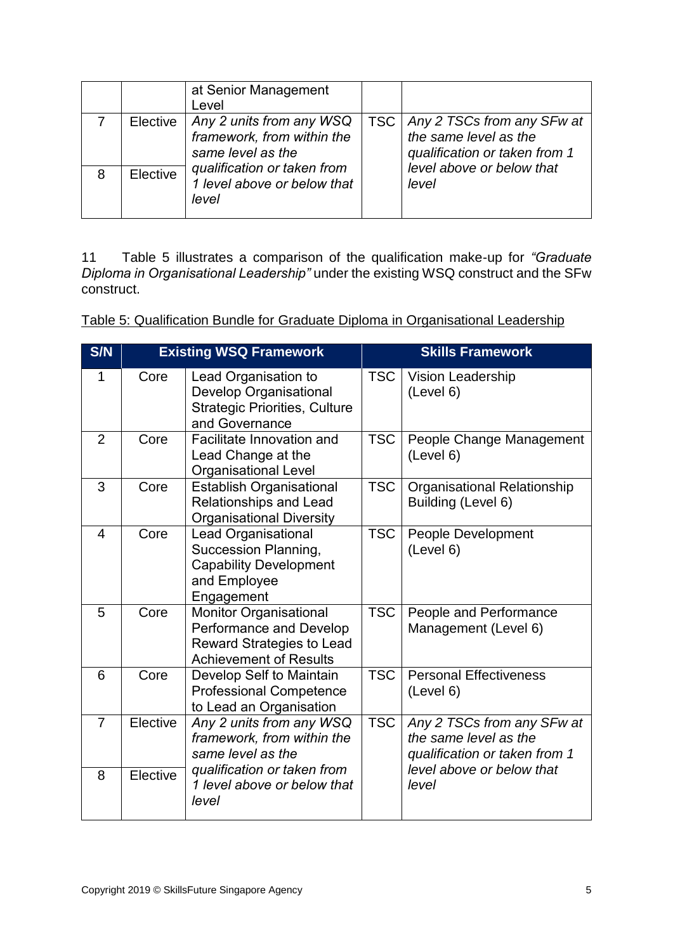|   |          | at Senior Management<br>Level                                               |                                                                                            |
|---|----------|-----------------------------------------------------------------------------|--------------------------------------------------------------------------------------------|
|   | Elective | Any 2 units from any WSQ<br>framework, from within the<br>same level as the | TSC   Any 2 TSCs from any SFw at<br>the same level as the<br>qualification or taken from 1 |
| 8 | Elective | qualification or taken from<br>1 level above or below that<br>level         | level above or below that<br>level                                                         |

11 Table 5 illustrates a comparison of the qualification make-up for *"Graduate Diploma in Organisational Leadership"* under the existing WSQ construct and the SFw construct.

| Table 5: Qualification Bundle for Graduate Diploma in Organisational Leadership |  |  |
|---------------------------------------------------------------------------------|--|--|
|                                                                                 |  |  |

| S/N            |          | <b>Existing WSQ Framework</b>                                                                                                 |            | <b>Skills Framework</b>                                                              |
|----------------|----------|-------------------------------------------------------------------------------------------------------------------------------|------------|--------------------------------------------------------------------------------------|
| 1              | Core     | Lead Organisation to<br><b>Develop Organisational</b><br><b>Strategic Priorities, Culture</b><br>and Governance               | <b>TSC</b> | Vision Leadership<br>(Level 6)                                                       |
| 2              | Core     | Facilitate Innovation and<br>Lead Change at the<br><b>Organisational Level</b>                                                | <b>TSC</b> | People Change Management<br>(Level 6)                                                |
| 3              | Core     | <b>Establish Organisational</b><br><b>Relationships and Lead</b><br><b>Organisational Diversity</b>                           | <b>TSC</b> | Organisational Relationship<br>Building (Level 6)                                    |
| $\overline{4}$ | Core     | Lead Organisational<br>Succession Planning,<br><b>Capability Development</b><br>and Employee<br>Engagement                    | <b>TSC</b> | People Development<br>(Level 6)                                                      |
| 5              | Core     | <b>Monitor Organisational</b><br>Performance and Develop<br><b>Reward Strategies to Lead</b><br><b>Achievement of Results</b> | <b>TSC</b> | People and Performance<br>Management (Level 6)                                       |
| 6              | Core     | Develop Self to Maintain<br><b>Professional Competence</b><br>to Lead an Organisation                                         | <b>TSC</b> | <b>Personal Effectiveness</b><br>(Level 6)                                           |
| $\overline{7}$ | Elective | Any 2 units from any WSQ<br>framework, from within the<br>same level as the                                                   | <b>TSC</b> | Any 2 TSCs from any SFw at<br>the same level as the<br>qualification or taken from 1 |
| 8              | Elective | qualification or taken from<br>1 level above or below that<br>level                                                           |            | level above or below that<br>level                                                   |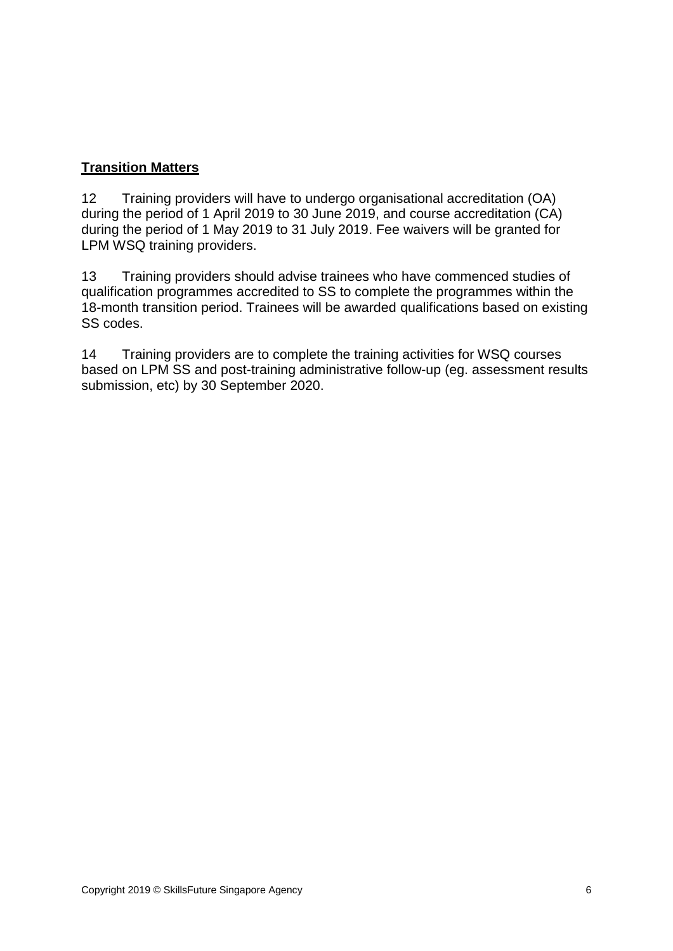# **Transition Matters**

12 Training providers will have to undergo organisational accreditation (OA) during the period of 1 April 2019 to 30 June 2019, and course accreditation (CA) during the period of 1 May 2019 to 31 July 2019. Fee waivers will be granted for LPM WSQ training providers.

13 Training providers should advise trainees who have commenced studies of qualification programmes accredited to SS to complete the programmes within the 18-month transition period. Trainees will be awarded qualifications based on existing SS codes.

14 Training providers are to complete the training activities for WSQ courses based on LPM SS and post-training administrative follow-up (eg. assessment results submission, etc) by 30 September 2020.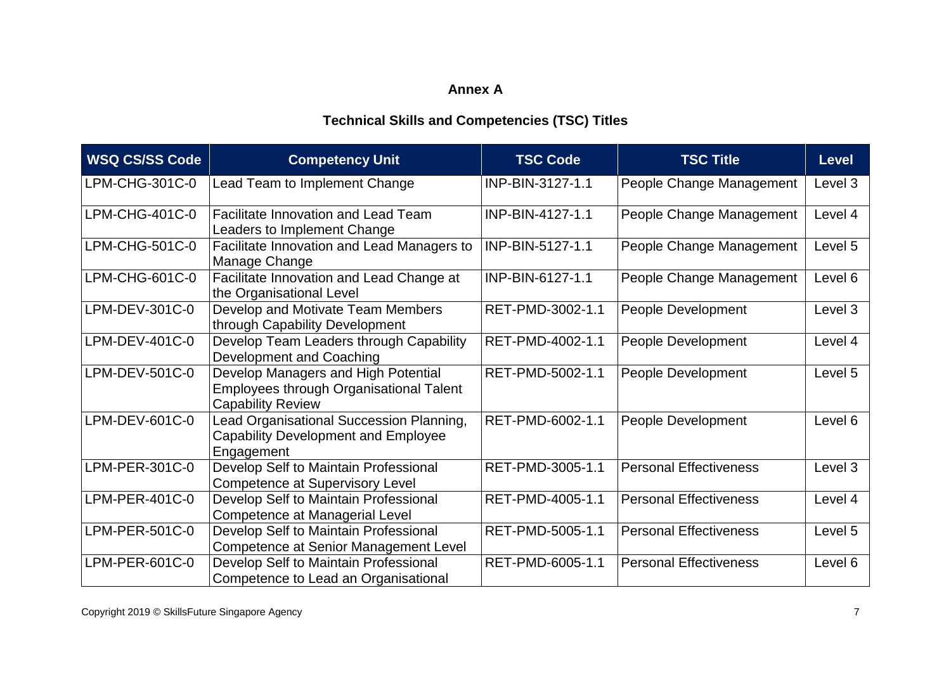# **Annex A**

# **Technical Skills and Competencies (TSC) Titles**

| <b>WSQ CS/SS Code</b> | <b>Competency Unit</b>                                                                                     | <b>TSC Code</b>  | <b>TSC Title</b>              | <b>Level</b> |
|-----------------------|------------------------------------------------------------------------------------------------------------|------------------|-------------------------------|--------------|
| LPM-CHG-301C-0        | Lead Team to Implement Change                                                                              | INP-BIN-3127-1.1 | People Change Management      | Level 3      |
| LPM-CHG-401C-0        | <b>Facilitate Innovation and Lead Team</b><br>Leaders to Implement Change                                  | INP-BIN-4127-1.1 | People Change Management      | Level 4      |
| LPM-CHG-501C-0        | Facilitate Innovation and Lead Managers to<br>Manage Change                                                | INP-BIN-5127-1.1 | People Change Management      | Level 5      |
| LPM-CHG-601C-0        | Facilitate Innovation and Lead Change at<br>the Organisational Level                                       | INP-BIN-6127-1.1 | People Change Management      | Level 6      |
| LPM-DEV-301C-0        | Develop and Motivate Team Members<br>through Capability Development                                        | RET-PMD-3002-1.1 | People Development            | Level 3      |
| LPM-DEV-401C-0        | Develop Team Leaders through Capability<br>Development and Coaching                                        | RET-PMD-4002-1.1 | People Development            | Level 4      |
| LPM-DEV-501C-0        | Develop Managers and High Potential<br>Employees through Organisational Talent<br><b>Capability Review</b> | RET-PMD-5002-1.1 | People Development            | Level 5      |
| LPM-DEV-601C-0        | Lead Organisational Succession Planning,<br><b>Capability Development and Employee</b><br>Engagement       | RET-PMD-6002-1.1 | People Development            | Level 6      |
| LPM-PER-301C-0        | Develop Self to Maintain Professional<br><b>Competence at Supervisory Level</b>                            | RET-PMD-3005-1.1 | <b>Personal Effectiveness</b> | Level 3      |
| LPM-PER-401C-0        | Develop Self to Maintain Professional<br>Competence at Managerial Level                                    | RET-PMD-4005-1.1 | <b>Personal Effectiveness</b> | Level 4      |
| LPM-PER-501C-0        | Develop Self to Maintain Professional<br>Competence at Senior Management Level                             | RET-PMD-5005-1.1 | <b>Personal Effectiveness</b> | Level 5      |
| LPM-PER-601C-0        | Develop Self to Maintain Professional<br>Competence to Lead an Organisational                              | RET-PMD-6005-1.1 | <b>Personal Effectiveness</b> | Level 6      |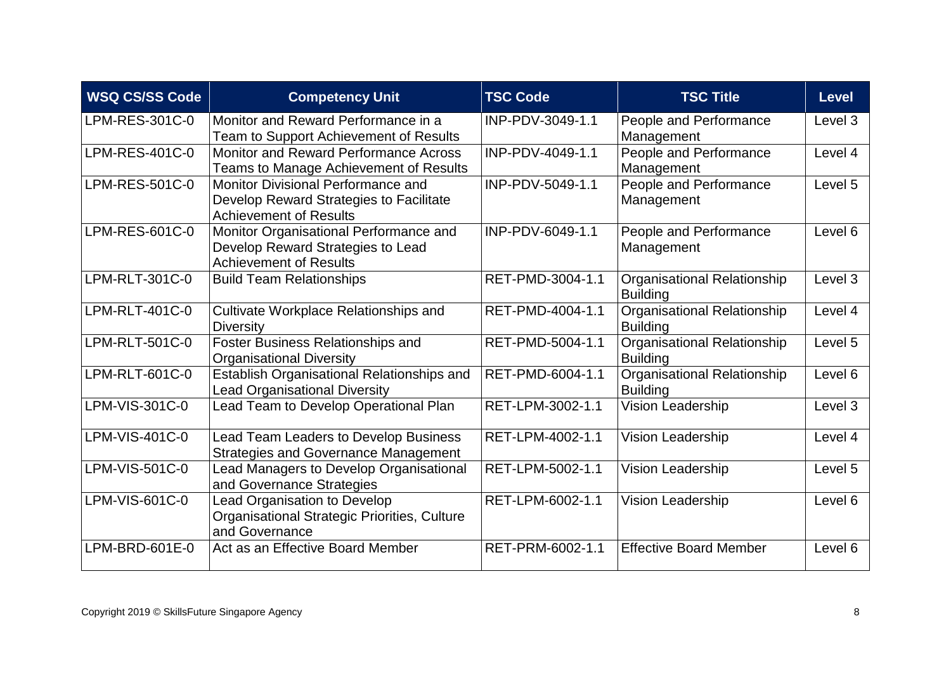| <b>WSQ CS/SS Code</b> | <b>Competency Unit</b>                                                                                         | <b>TSC Code</b>  | <b>TSC Title</b>                               | <b>Level</b> |
|-----------------------|----------------------------------------------------------------------------------------------------------------|------------------|------------------------------------------------|--------------|
| LPM-RES-301C-0        | Monitor and Reward Performance in a<br>Team to Support Achievement of Results                                  | INP-PDV-3049-1.1 | People and Performance<br>Management           | Level 3      |
| LPM-RES-401C-0        | Monitor and Reward Performance Across<br>Teams to Manage Achievement of Results                                | INP-PDV-4049-1.1 | People and Performance<br>Management           | Level 4      |
| LPM-RES-501C-0        | Monitor Divisional Performance and<br>Develop Reward Strategies to Facilitate<br><b>Achievement of Results</b> | INP-PDV-5049-1.1 | People and Performance<br>Management           | Level 5      |
| LPM-RES-601C-0        | Monitor Organisational Performance and<br>Develop Reward Strategies to Lead<br><b>Achievement of Results</b>   | INP-PDV-6049-1.1 | People and Performance<br>Management           | Level 6      |
| LPM-RLT-301C-0        | <b>Build Team Relationships</b>                                                                                | RET-PMD-3004-1.1 | Organisational Relationship<br><b>Building</b> | Level 3      |
| LPM-RLT-401C-0        | <b>Cultivate Workplace Relationships and</b><br><b>Diversity</b>                                               | RET-PMD-4004-1.1 | Organisational Relationship<br><b>Building</b> | Level 4      |
| LPM-RLT-501C-0        | Foster Business Relationships and<br><b>Organisational Diversity</b>                                           | RET-PMD-5004-1.1 | Organisational Relationship<br><b>Building</b> | Level 5      |
| LPM-RLT-601C-0        | Establish Organisational Relationships and<br><b>Lead Organisational Diversity</b>                             | RET-PMD-6004-1.1 | Organisational Relationship<br><b>Building</b> | Level 6      |
| LPM-VIS-301C-0        | Lead Team to Develop Operational Plan                                                                          | RET-LPM-3002-1.1 | <b>Vision Leadership</b>                       | Level 3      |
| LPM-VIS-401C-0        | Lead Team Leaders to Develop Business<br><b>Strategies and Governance Management</b>                           | RET-LPM-4002-1.1 | <b>Vision Leadership</b>                       | Level 4      |
| LPM-VIS-501C-0        | Lead Managers to Develop Organisational<br>and Governance Strategies                                           | RET-LPM-5002-1.1 | <b>Vision Leadership</b>                       | Level 5      |
| LPM-VIS-601C-0        | <b>Lead Organisation to Develop</b><br><b>Organisational Strategic Priorities, Culture</b><br>and Governance   | RET-LPM-6002-1.1 | <b>Vision Leadership</b>                       | Level 6      |
| LPM-BRD-601E-0        | Act as an Effective Board Member                                                                               | RET-PRM-6002-1.1 | <b>Effective Board Member</b>                  | Level 6      |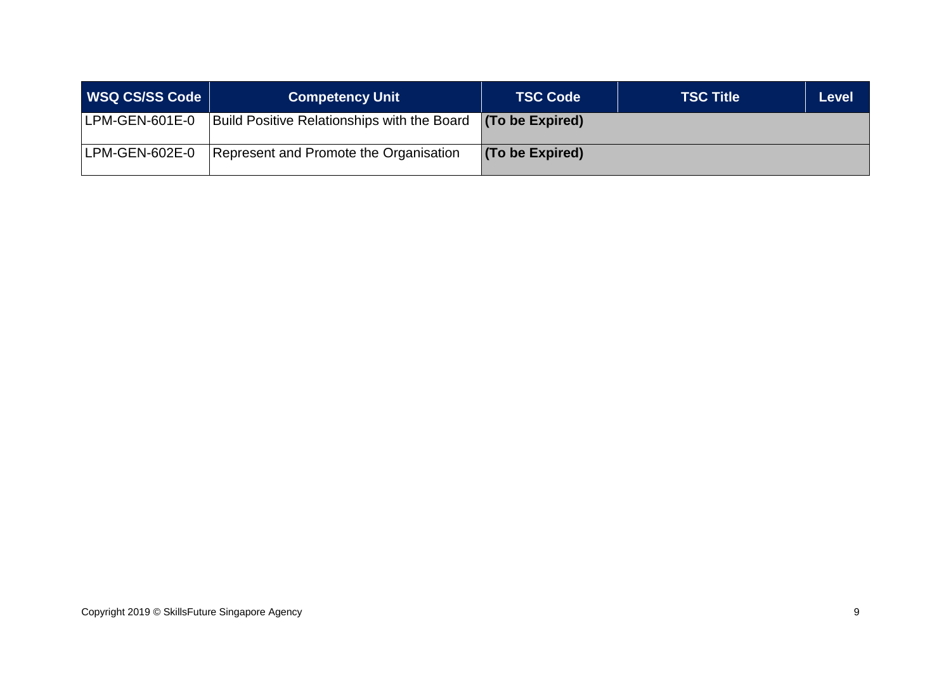| WSQ CS/SS Code | <b>Competency Unit</b>                      | <b>TSC Code</b> | <b>TSC Title</b> | <b>Level</b> |
|----------------|---------------------------------------------|-----------------|------------------|--------------|
| LPM-GEN-601E-0 | Build Positive Relationships with the Board | (To be Expired) |                  |              |
| LPM-GEN-602E-0 | Represent and Promote the Organisation      | (To be Expired) |                  |              |